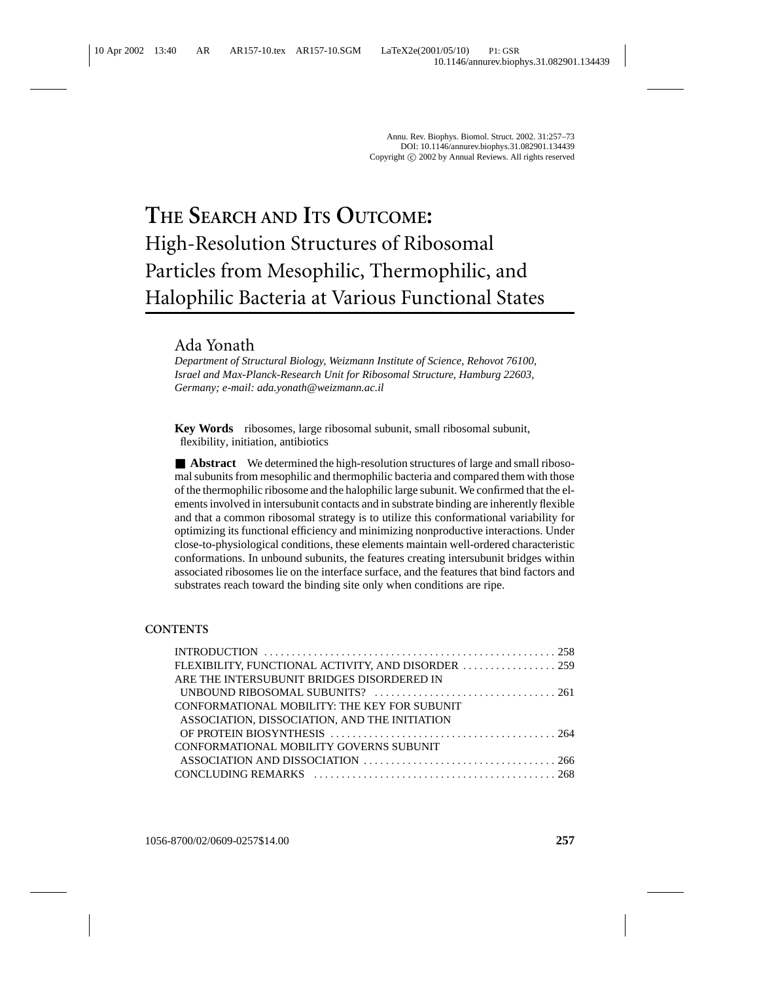# **THE SEARCH AND ITS OUTCOME:** High-Resolution Structures of Ribosomal Particles from Mesophilic, Thermophilic, and Halophilic Bacteria at Various Functional States

# Ada Yonath

*Department of Structural Biology, Weizmann Institute of Science, Rehovot 76100, Israel and Max-Planck-Research Unit for Ribosomal Structure, Hamburg 22603, Germany; e-mail: ada.yonath@weizmann.ac.il*

**Key Words** ribosomes, large ribosomal subunit, small ribosomal subunit, flexibility, initiation, antibiotics

■ **Abstract** We determined the high-resolution structures of large and small ribosomal subunits from mesophilic and thermophilic bacteria and compared them with those of the thermophilic ribosome and the halophilic large subunit. We confirmed that the elements involved in intersubunit contacts and in substrate binding are inherently flexible and that a common ribosomal strategy is to utilize this conformational variability for optimizing its functional efficiency and minimizing nonproductive interactions. Under close-to-physiological conditions, these elements maintain well-ordered characteristic conformations. In unbound subunits, the features creating intersubunit bridges within associated ribosomes lie on the interface surface, and the features that bind factors and substrates reach toward the binding site only when conditions are ripe.

## **CONTENTS**

| ARE THE INTERSUBUNIT BRIDGES DISORDERED IN    |  |
|-----------------------------------------------|--|
|                                               |  |
| CONFORMATIONAL MOBILITY: THE KEY FOR SUBUNIT  |  |
| ASSOCIATION, DISSOCIATION, AND THE INITIATION |  |
|                                               |  |
| CONFORMATIONAL MOBILITY GOVERNS SUBUNIT       |  |
|                                               |  |
|                                               |  |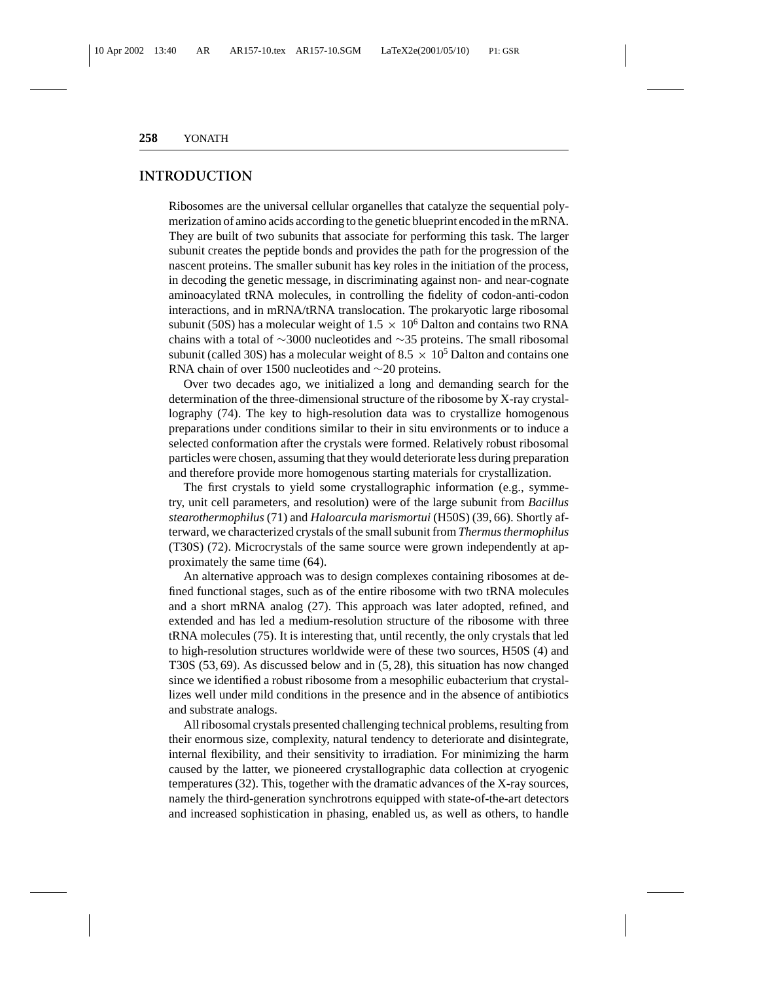## **INTRODUCTION**

Ribosomes are the universal cellular organelles that catalyze the sequential polymerization of amino acids according to the genetic blueprint encoded in the mRNA. They are built of two subunits that associate for performing this task. The larger subunit creates the peptide bonds and provides the path for the progression of the nascent proteins. The smaller subunit has key roles in the initiation of the process, in decoding the genetic message, in discriminating against non- and near-cognate aminoacylated tRNA molecules, in controlling the fidelity of codon-anti-codon interactions, and in mRNA/tRNA translocation. The prokaryotic large ribosomal subunit (50S) has a molecular weight of  $1.5 \times 10^6$  Dalton and contains two RNA chains with a total of ∼3000 nucleotides and ∼35 proteins. The small ribosomal subunit (called 30S) has a molecular weight of 8.5  $\times$  10<sup>5</sup> Dalton and contains one RNA chain of over 1500 nucleotides and ∼20 proteins.

Over two decades ago, we initialized a long and demanding search for the determination of the three-dimensional structure of the ribosome by X-ray crystallography (74). The key to high-resolution data was to crystallize homogenous preparations under conditions similar to their in situ environments or to induce a selected conformation after the crystals were formed. Relatively robust ribosomal particles were chosen, assuming that they would deteriorate less during preparation and therefore provide more homogenous starting materials for crystallization.

The first crystals to yield some crystallographic information (e.g., symmetry, unit cell parameters, and resolution) were of the large subunit from *Bacillus stearothermophilus* (71) and *Haloarcula marismortui* (H50S) (39, 66). Shortly afterward, we characterized crystals of the small subunit from *Thermus thermophilus* (T30S) (72). Microcrystals of the same source were grown independently at approximately the same time (64).

An alternative approach was to design complexes containing ribosomes at defined functional stages, such as of the entire ribosome with two tRNA molecules and a short mRNA analog (27). This approach was later adopted, refined, and extended and has led a medium-resolution structure of the ribosome with three tRNA molecules (75). It is interesting that, until recently, the only crystals that led to high-resolution structures worldwide were of these two sources, H50S (4) and T30S (53, 69). As discussed below and in (5, 28), this situation has now changed since we identified a robust ribosome from a mesophilic eubacterium that crystallizes well under mild conditions in the presence and in the absence of antibiotics and substrate analogs.

All ribosomal crystals presented challenging technical problems, resulting from their enormous size, complexity, natural tendency to deteriorate and disintegrate, internal flexibility, and their sensitivity to irradiation. For minimizing the harm caused by the latter, we pioneered crystallographic data collection at cryogenic temperatures (32). This, together with the dramatic advances of the X-ray sources, namely the third-generation synchrotrons equipped with state-of-the-art detectors and increased sophistication in phasing, enabled us, as well as others, to handle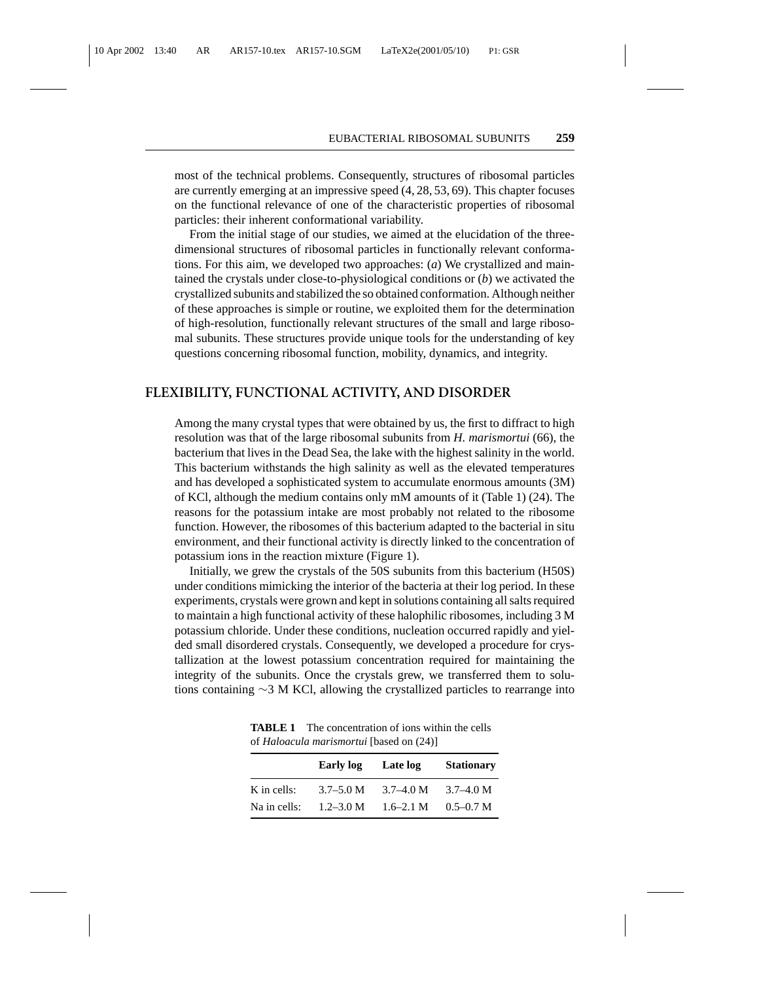most of the technical problems. Consequently, structures of ribosomal particles are currently emerging at an impressive speed (4, 28, 53, 69). This chapter focuses on the functional relevance of one of the characteristic properties of ribosomal particles: their inherent conformational variability.

From the initial stage of our studies, we aimed at the elucidation of the threedimensional structures of ribosomal particles in functionally relevant conformations. For this aim, we developed two approaches: (*a*) We crystallized and maintained the crystals under close-to-physiological conditions or (*b*) we activated the crystallized subunits and stabilized the so obtained conformation. Although neither of these approaches is simple or routine, we exploited them for the determination of high-resolution, functionally relevant structures of the small and large ribosomal subunits. These structures provide unique tools for the understanding of key questions concerning ribosomal function, mobility, dynamics, and integrity.

### **FLEXIBILITY, FUNCTIONAL ACTIVITY, AND DISORDER**

Among the many crystal types that were obtained by us, the first to diffract to high resolution was that of the large ribosomal subunits from *H. marismortui* (66), the bacterium that lives in the Dead Sea, the lake with the highest salinity in the world. This bacterium withstands the high salinity as well as the elevated temperatures and has developed a sophisticated system to accumulate enormous amounts (3M) of KCl, although the medium contains only mM amounts of it (Table 1) (24). The reasons for the potassium intake are most probably not related to the ribosome function. However, the ribosomes of this bacterium adapted to the bacterial in situ environment, and their functional activity is directly linked to the concentration of potassium ions in the reaction mixture (Figure 1).

Initially, we grew the crystals of the 50S subunits from this bacterium (H50S) under conditions mimicking the interior of the bacteria at their log period. In these experiments, crystals were grown and kept in solutions containing all salts required to maintain a high functional activity of these halophilic ribosomes, including 3 M potassium chloride. Under these conditions, nucleation occurred rapidly and yielded small disordered crystals. Consequently, we developed a procedure for crystallization at the lowest potassium concentration required for maintaining the integrity of the subunits. Once the crystals grew, we transferred them to solutions containing ∼3 M KCl, allowing the crystallized particles to rearrange into

|              | Early log     | Late log      | <b>Stationary</b> |
|--------------|---------------|---------------|-------------------|
| K in cells:  | $3.7 - 5.0 M$ | $3.7 - 4.0 M$ | $3.7 - 4.0 M$     |
| Na in cells: | $1.2 - 3.0 M$ | $1.6 - 2.1$ M | $0.5 - 0.7$ M     |

**TABLE 1** The concentration of ions within the cells of *Haloacula marismortui* [based on (24)]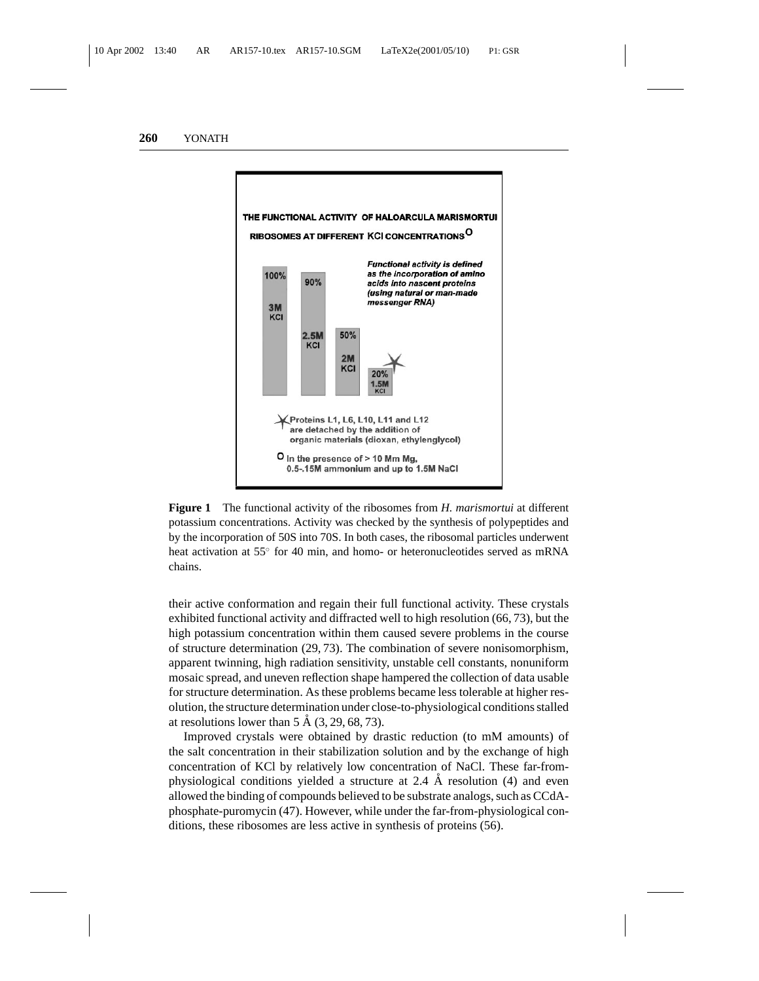

**Figure 1** The functional activity of the ribosomes from *H. marismortui* at different potassium concentrations. Activity was checked by the synthesis of polypeptides and by the incorporation of 50S into 70S. In both cases, the ribosomal particles underwent heat activation at 55° for 40 min, and homo- or heteronucleotides served as mRNA chains.

their active conformation and regain their full functional activity. These crystals exhibited functional activity and diffracted well to high resolution (66, 73), but the high potassium concentration within them caused severe problems in the course of structure determination (29, 73). The combination of severe nonisomorphism, apparent twinning, high radiation sensitivity, unstable cell constants, nonuniform mosaic spread, and uneven reflection shape hampered the collection of data usable for structure determination. As these problems became less tolerable at higher resolution, the structure determination under close-to-physiological conditions stalled at resolutions lower than  $5 \text{ Å } (3, 29, 68, 73)$ .

Improved crystals were obtained by drastic reduction (to mM amounts) of the salt concentration in their stabilization solution and by the exchange of high concentration of KCl by relatively low concentration of NaCl. These far-fromphysiological conditions yielded a structure at 2.4  $\AA$  resolution (4) and even allowed the binding of compounds believed to be substrate analogs, such as CCdAphosphate-puromycin (47). However, while under the far-from-physiological conditions, these ribosomes are less active in synthesis of proteins (56).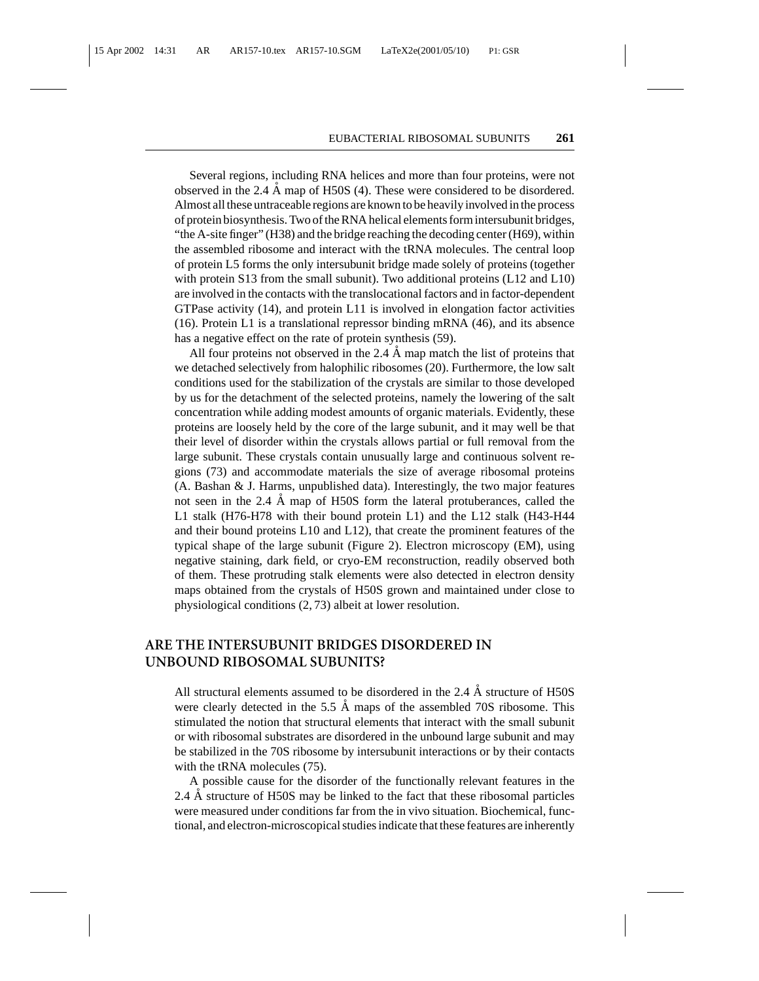Several regions, including RNA helices and more than four proteins, were not observed in the 2.4  $\AA$  map of H50S (4). These were considered to be disordered. Almost all these untraceable regions are known to be heavily involved in the process of protein biosynthesis. Two of the RNA helical elements form intersubunit bridges, "the A-site finger" (H38) and the bridge reaching the decoding center (H69), within the assembled ribosome and interact with the tRNA molecules. The central loop of protein L5 forms the only intersubunit bridge made solely of proteins (together with protein S13 from the small subunit). Two additional proteins (L12 and L10) are involved in the contacts with the translocational factors and in factor-dependent GTPase activity (14), and protein L11 is involved in elongation factor activities (16). Protein L1 is a translational repressor binding mRNA (46), and its absence has a negative effect on the rate of protein synthesis (59).

All four proteins not observed in the 2.4  $\AA$  map match the list of proteins that we detached selectively from halophilic ribosomes (20). Furthermore, the low salt conditions used for the stabilization of the crystals are similar to those developed by us for the detachment of the selected proteins, namely the lowering of the salt concentration while adding modest amounts of organic materials. Evidently, these proteins are loosely held by the core of the large subunit, and it may well be that their level of disorder within the crystals allows partial or full removal from the large subunit. These crystals contain unusually large and continuous solvent regions (73) and accommodate materials the size of average ribosomal proteins (A. Bashan & J. Harms, unpublished data). Interestingly, the two major features not seen in the  $2.4 \text{ Å}$  map of H50S form the lateral protuberances, called the L1 stalk (H76-H78 with their bound protein L1) and the L12 stalk (H43-H44 and their bound proteins L10 and L12), that create the prominent features of the typical shape of the large subunit (Figure 2). Electron microscopy (EM), using negative staining, dark field, or cryo-EM reconstruction, readily observed both of them. These protruding stalk elements were also detected in electron density maps obtained from the crystals of H50S grown and maintained under close to physiological conditions (2, 73) albeit at lower resolution.

# **ARE THE INTERSUBUNIT BRIDGES DISORDERED IN UNBOUND RIBOSOMAL SUBUNITS?**

All structural elements assumed to be disordered in the 2.4  $\AA$  structure of H50S were clearly detected in the  $5.5 \text{ Å}$  maps of the assembled 70S ribosome. This stimulated the notion that structural elements that interact with the small subunit or with ribosomal substrates are disordered in the unbound large subunit and may be stabilized in the 70S ribosome by intersubunit interactions or by their contacts with the tRNA molecules (75).

A possible cause for the disorder of the functionally relevant features in the 2.4 A structure of H50S may be linked to the fact that these ribosomal particles were measured under conditions far from the in vivo situation. Biochemical, functional, and electron-microscopical studies indicate that these features are inherently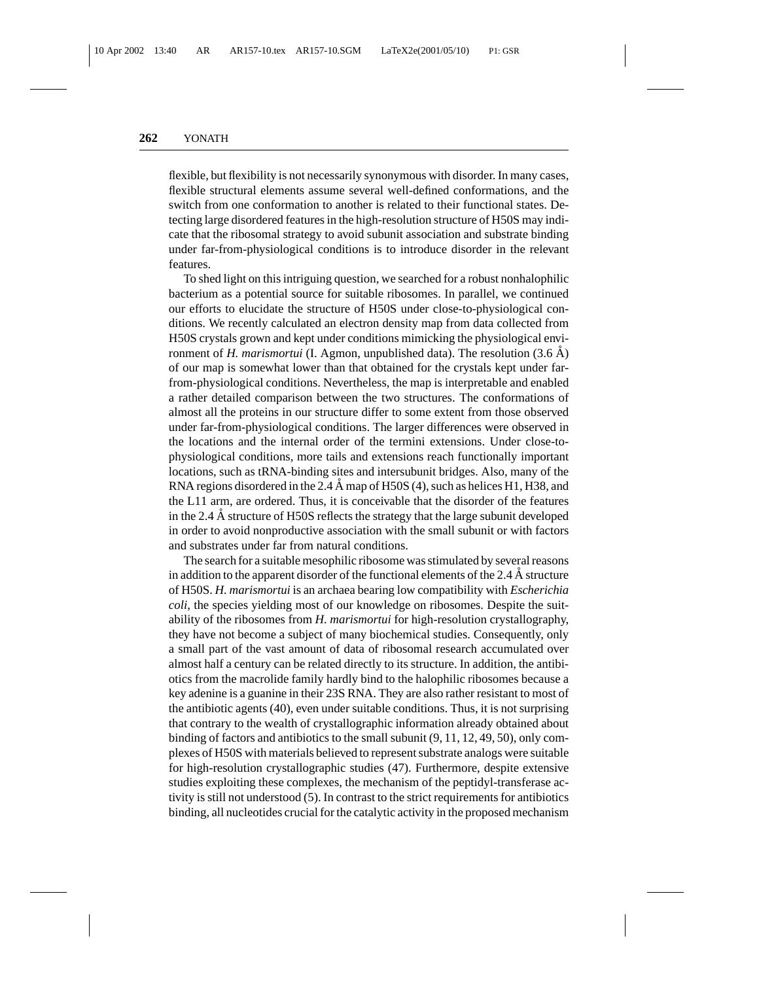flexible, but flexibility is not necessarily synonymous with disorder. In many cases, flexible structural elements assume several well-defined conformations, and the switch from one conformation to another is related to their functional states. Detecting large disordered features in the high-resolution structure of H50S may indicate that the ribosomal strategy to avoid subunit association and substrate binding under far-from-physiological conditions is to introduce disorder in the relevant features.

To shed light on this intriguing question, we searched for a robust nonhalophilic bacterium as a potential source for suitable ribosomes. In parallel, we continued our efforts to elucidate the structure of H50S under close-to-physiological conditions. We recently calculated an electron density map from data collected from H50S crystals grown and kept under conditions mimicking the physiological environment of *H. marismortui* (I. Agmon, unpublished data). The resolution  $(3.6 \text{ Å})$ of our map is somewhat lower than that obtained for the crystals kept under farfrom-physiological conditions. Nevertheless, the map is interpretable and enabled a rather detailed comparison between the two structures. The conformations of almost all the proteins in our structure differ to some extent from those observed under far-from-physiological conditions. The larger differences were observed in the locations and the internal order of the termini extensions. Under close-tophysiological conditions, more tails and extensions reach functionally important locations, such as tRNA-binding sites and intersubunit bridges. Also, many of the RNA regions disordered in the 2.4 Å map of H50S (4), such as helices H1, H38, and the L11 arm, are ordered. Thus, it is conceivable that the disorder of the features in the 2.4  $\AA$  structure of H50S reflects the strategy that the large subunit developed in order to avoid nonproductive association with the small subunit or with factors and substrates under far from natural conditions.

The search for a suitable mesophilic ribosome was stimulated by several reasons in addition to the apparent disorder of the functional elements of the 2.4  $\AA$  structure of H50S. *H. marismortui* is an archaea bearing low compatibility with *Escherichia coli*, the species yielding most of our knowledge on ribosomes. Despite the suitability of the ribosomes from *H. marismortui* for high-resolution crystallography, they have not become a subject of many biochemical studies. Consequently, only a small part of the vast amount of data of ribosomal research accumulated over almost half a century can be related directly to its structure. In addition, the antibiotics from the macrolide family hardly bind to the halophilic ribosomes because a key adenine is a guanine in their 23S RNA. They are also rather resistant to most of the antibiotic agents (40), even under suitable conditions. Thus, it is not surprising that contrary to the wealth of crystallographic information already obtained about binding of factors and antibiotics to the small subunit (9, 11, 12, 49, 50), only complexes of H50S with materials believed to represent substrate analogs were suitable for high-resolution crystallographic studies (47). Furthermore, despite extensive studies exploiting these complexes, the mechanism of the peptidyl-transferase activity is still not understood (5). In contrast to the strict requirements for antibiotics binding, all nucleotides crucial for the catalytic activity in the proposed mechanism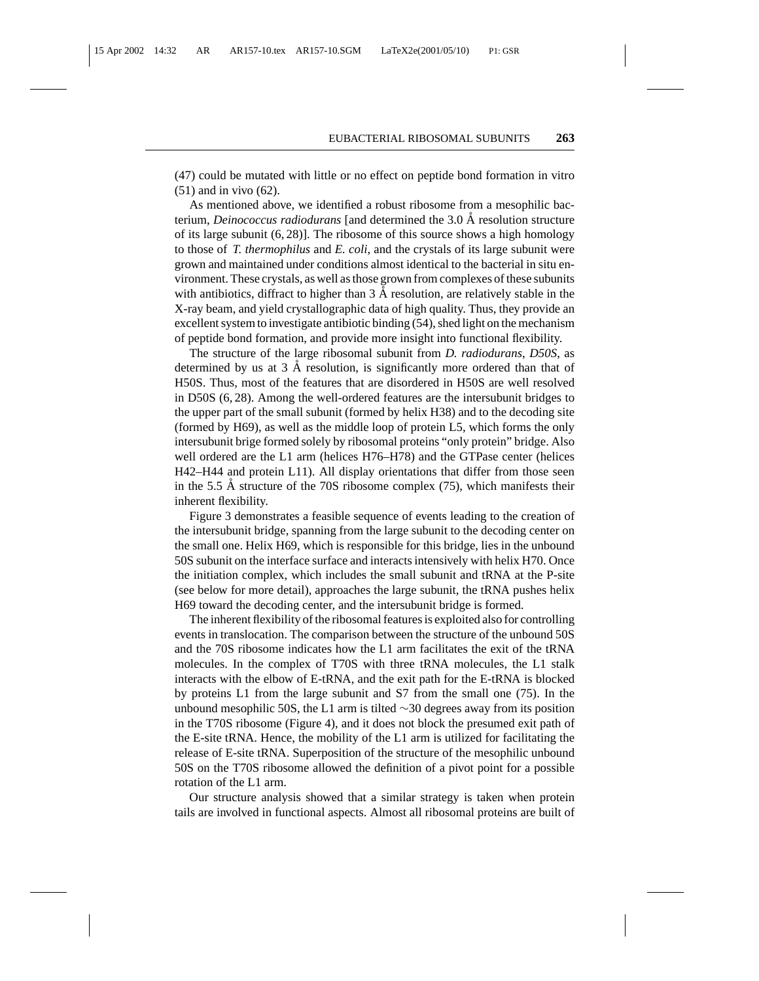(47) could be mutated with little or no effect on peptide bond formation in vitro (51) and in vivo (62).

As mentioned above, we identified a robust ribosome from a mesophilic bacterium, *Deinococcus radiodurans* [and determined the 3.0 Å resolution structure of its large subunit  $(6, 28)$ . The ribosome of this source shows a high homology to those of *T. thermophilus* and *E. coli*, and the crystals of its large subunit were grown and maintained under conditions almost identical to the bacterial in situ environment. These crystals, as well as those grown from complexes of these subunits with antibiotics, diffract to higher than  $3 \text{ Å}$  resolution, are relatively stable in the X-ray beam, and yield crystallographic data of high quality. Thus, they provide an excellent system to investigate antibiotic binding (54), shed light on the mechanism of peptide bond formation, and provide more insight into functional flexibility.

The structure of the large ribosomal subunit from *D. radiodurans*, *D50S*, as determined by us at  $3 \text{ Å}$  resolution, is significantly more ordered than that of H50S. Thus, most of the features that are disordered in H50S are well resolved in D50S (6, 28). Among the well-ordered features are the intersubunit bridges to the upper part of the small subunit (formed by helix H38) and to the decoding site (formed by H69), as well as the middle loop of protein L5, which forms the only intersubunit brige formed solely by ribosomal proteins "only protein" bridge. Also well ordered are the L1 arm (helices H76–H78) and the GTPase center (helices H42–H44 and protein L11). All display orientations that differ from those seen in the 5.5  $\AA$  structure of the 70S ribosome complex (75), which manifests their inherent flexibility.

Figure 3 demonstrates a feasible sequence of events leading to the creation of the intersubunit bridge, spanning from the large subunit to the decoding center on the small one. Helix H69, which is responsible for this bridge, lies in the unbound 50S subunit on the interface surface and interacts intensively with helix H70. Once the initiation complex, which includes the small subunit and tRNA at the P-site (see below for more detail), approaches the large subunit, the tRNA pushes helix H69 toward the decoding center, and the intersubunit bridge is formed.

The inherent flexibility of the ribosomal features is exploited also for controlling events in translocation. The comparison between the structure of the unbound 50S and the 70S ribosome indicates how the L1 arm facilitates the exit of the tRNA molecules. In the complex of T70S with three tRNA molecules, the L1 stalk interacts with the elbow of E-tRNA, and the exit path for the E-tRNA is blocked by proteins L1 from the large subunit and S7 from the small one (75). In the unbound mesophilic 50S, the L1 arm is tilted ∼30 degrees away from its position in the T70S ribosome (Figure 4), and it does not block the presumed exit path of the E-site tRNA. Hence, the mobility of the L1 arm is utilized for facilitating the release of E-site tRNA. Superposition of the structure of the mesophilic unbound 50S on the T70S ribosome allowed the definition of a pivot point for a possible rotation of the L1 arm.

Our structure analysis showed that a similar strategy is taken when protein tails are involved in functional aspects. Almost all ribosomal proteins are built of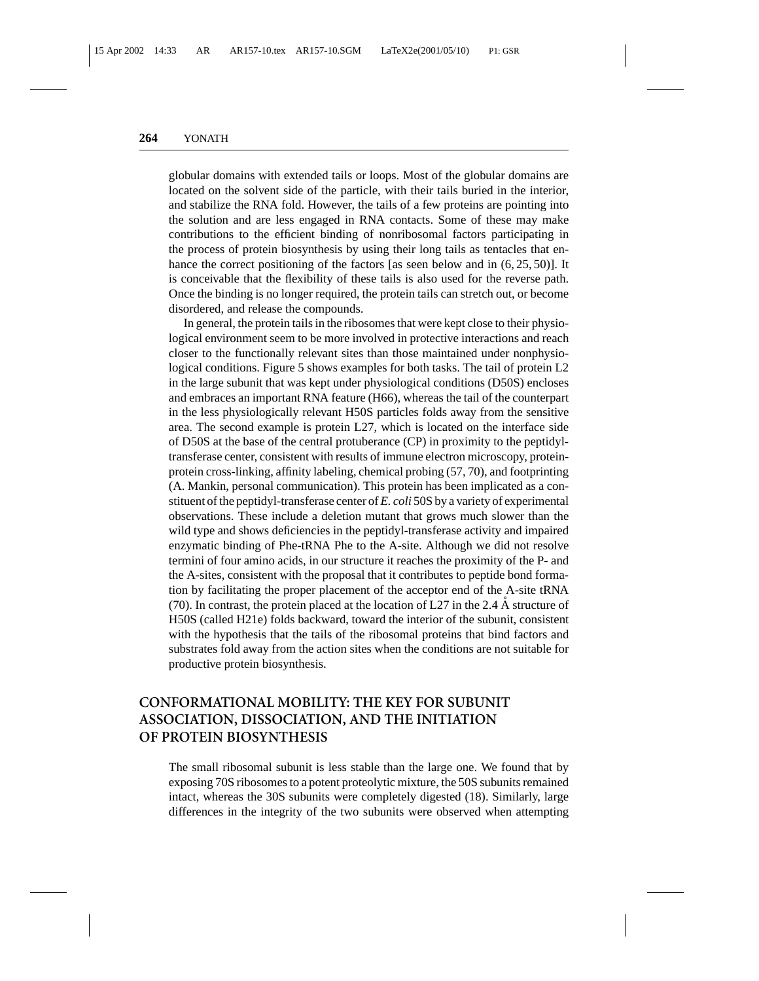globular domains with extended tails or loops. Most of the globular domains are located on the solvent side of the particle, with their tails buried in the interior, and stabilize the RNA fold. However, the tails of a few proteins are pointing into the solution and are less engaged in RNA contacts. Some of these may make contributions to the efficient binding of nonribosomal factors participating in the process of protein biosynthesis by using their long tails as tentacles that enhance the correct positioning of the factors [as seen below and in  $(6, 25, 50)$ ]. It is conceivable that the flexibility of these tails is also used for the reverse path. Once the binding is no longer required, the protein tails can stretch out, or become disordered, and release the compounds.

In general, the protein tails in the ribosomes that were kept close to their physiological environment seem to be more involved in protective interactions and reach closer to the functionally relevant sites than those maintained under nonphysiological conditions. Figure 5 shows examples for both tasks. The tail of protein L2 in the large subunit that was kept under physiological conditions (D50S) encloses and embraces an important RNA feature (H66), whereas the tail of the counterpart in the less physiologically relevant H50S particles folds away from the sensitive area. The second example is protein L27, which is located on the interface side of D50S at the base of the central protuberance (CP) in proximity to the peptidyltransferase center, consistent with results of immune electron microscopy, proteinprotein cross-linking, affinity labeling, chemical probing (57, 70), and footprinting (A. Mankin, personal communication). This protein has been implicated as a constituent of the peptidyl-transferase center of *E. coli* 50S by a variety of experimental observations. These include a deletion mutant that grows much slower than the wild type and shows deficiencies in the peptidyl-transferase activity and impaired enzymatic binding of Phe-tRNA Phe to the A-site. Although we did not resolve termini of four amino acids, in our structure it reaches the proximity of the P- and the A-sites, consistent with the proposal that it contributes to peptide bond formation by facilitating the proper placement of the acceptor end of the A-site tRNA (70). In contrast, the protein placed at the location of L27 in the 2.4  $\AA$  structure of H50S (called H21e) folds backward, toward the interior of the subunit, consistent with the hypothesis that the tails of the ribosomal proteins that bind factors and substrates fold away from the action sites when the conditions are not suitable for productive protein biosynthesis.

# **CONFORMATIONAL MOBILITY: THE KEY FOR SUBUNIT ASSOCIATION, DISSOCIATION, AND THE INITIATION OF PROTEIN BIOSYNTHESIS**

The small ribosomal subunit is less stable than the large one. We found that by exposing 70S ribosomes to a potent proteolytic mixture, the 50S subunits remained intact, whereas the 30S subunits were completely digested (18). Similarly, large differences in the integrity of the two subunits were observed when attempting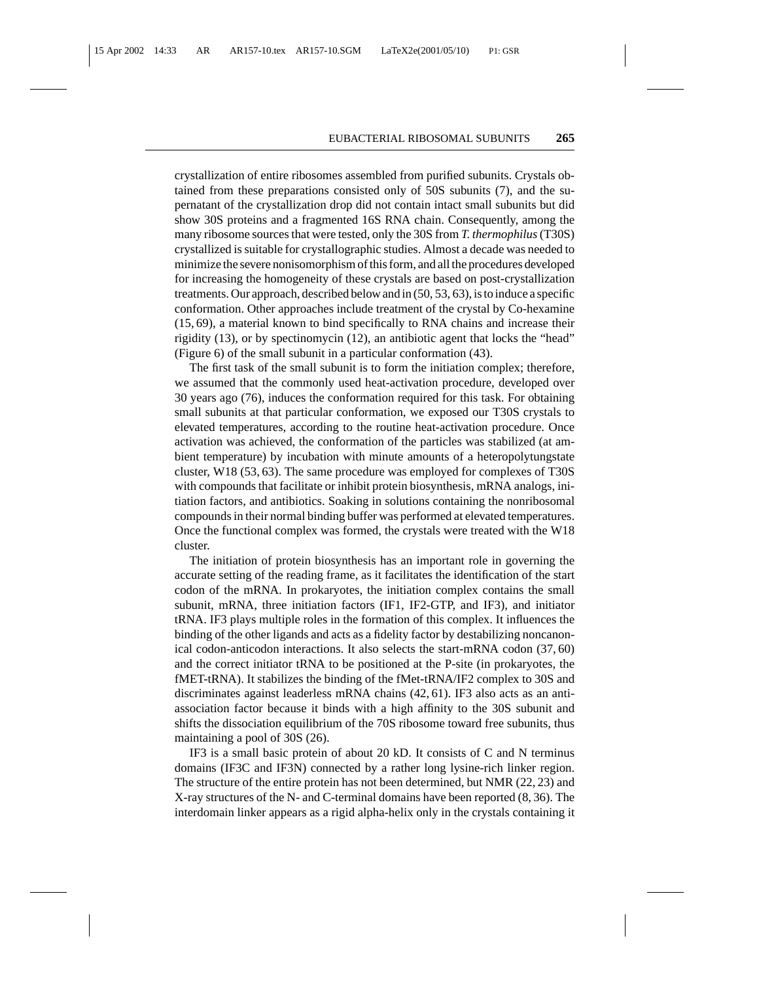crystallization of entire ribosomes assembled from purified subunits. Crystals obtained from these preparations consisted only of 50S subunits (7), and the supernatant of the crystallization drop did not contain intact small subunits but did show 30S proteins and a fragmented 16S RNA chain. Consequently, among the many ribosome sources that were tested, only the 30S from *T. thermophilus*(T30S) crystallized is suitable for crystallographic studies. Almost a decade was needed to minimize the severe nonisomorphism of this form, and all the procedures developed for increasing the homogeneity of these crystals are based on post-crystallization treatments. Our approach, described below and in (50, 53, 63), is to induce a specific conformation. Other approaches include treatment of the crystal by Co-hexamine (15, 69), a material known to bind specifically to RNA chains and increase their rigidity (13), or by spectinomycin (12), an antibiotic agent that locks the "head" (Figure 6) of the small subunit in a particular conformation (43).

The first task of the small subunit is to form the initiation complex; therefore, we assumed that the commonly used heat-activation procedure, developed over 30 years ago (76), induces the conformation required for this task. For obtaining small subunits at that particular conformation, we exposed our T30S crystals to elevated temperatures, according to the routine heat-activation procedure. Once activation was achieved, the conformation of the particles was stabilized (at ambient temperature) by incubation with minute amounts of a heteropolytungstate cluster, W18 (53, 63). The same procedure was employed for complexes of T30S with compounds that facilitate or inhibit protein biosynthesis, mRNA analogs, initiation factors, and antibiotics. Soaking in solutions containing the nonribosomal compounds in their normal binding buffer was performed at elevated temperatures. Once the functional complex was formed, the crystals were treated with the W18 cluster.

The initiation of protein biosynthesis has an important role in governing the accurate setting of the reading frame, as it facilitates the identification of the start codon of the mRNA. In prokaryotes, the initiation complex contains the small subunit, mRNA, three initiation factors (IF1, IF2-GTP, and IF3), and initiator tRNA. IF3 plays multiple roles in the formation of this complex. It influences the binding of the other ligands and acts as a fidelity factor by destabilizing noncanonical codon-anticodon interactions. It also selects the start-mRNA codon (37, 60) and the correct initiator tRNA to be positioned at the P-site (in prokaryotes, the fMET-tRNA). It stabilizes the binding of the fMet-tRNA/IF2 complex to 30S and discriminates against leaderless mRNA chains (42, 61). IF3 also acts as an antiassociation factor because it binds with a high affinity to the 30S subunit and shifts the dissociation equilibrium of the 70S ribosome toward free subunits, thus maintaining a pool of 30S (26).

IF3 is a small basic protein of about 20 kD. It consists of C and N terminus domains (IF3C and IF3N) connected by a rather long lysine-rich linker region. The structure of the entire protein has not been determined, but NMR (22, 23) and X-ray structures of the N- and C-terminal domains have been reported (8, 36). The interdomain linker appears as a rigid alpha-helix only in the crystals containing it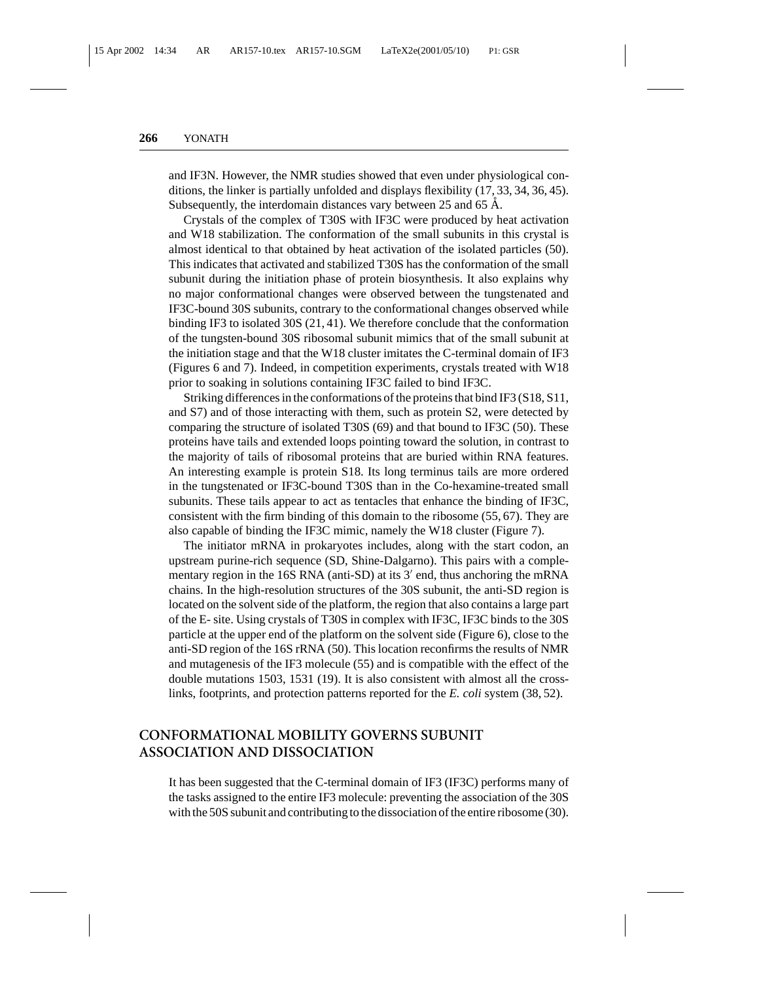and IF3N. However, the NMR studies showed that even under physiological conditions, the linker is partially unfolded and displays flexibility (17, 33, 34, 36, 45). Subsequently, the interdomain distances vary between 25 and 65 Å.

Crystals of the complex of T30S with IF3C were produced by heat activation and W18 stabilization. The conformation of the small subunits in this crystal is almost identical to that obtained by heat activation of the isolated particles (50). This indicates that activated and stabilized T30S has the conformation of the small subunit during the initiation phase of protein biosynthesis. It also explains why no major conformational changes were observed between the tungstenated and IF3C-bound 30S subunits, contrary to the conformational changes observed while binding IF3 to isolated 30S (21, 41). We therefore conclude that the conformation of the tungsten-bound 30S ribosomal subunit mimics that of the small subunit at the initiation stage and that the W18 cluster imitates the C-terminal domain of IF3 (Figures 6 and 7). Indeed, in competition experiments, crystals treated with W18 prior to soaking in solutions containing IF3C failed to bind IF3C.

Striking differences in the conformations of the proteins that bind IF3 (S18, S11, and S7) and of those interacting with them, such as protein S2, were detected by comparing the structure of isolated T30S (69) and that bound to IF3C (50). These proteins have tails and extended loops pointing toward the solution, in contrast to the majority of tails of ribosomal proteins that are buried within RNA features. An interesting example is protein S18. Its long terminus tails are more ordered in the tungstenated or IF3C-bound T30S than in the Co-hexamine-treated small subunits. These tails appear to act as tentacles that enhance the binding of IF3C, consistent with the firm binding of this domain to the ribosome (55, 67). They are also capable of binding the IF3C mimic, namely the W18 cluster (Figure 7).

The initiator mRNA in prokaryotes includes, along with the start codon, an upstream purine-rich sequence (SD, Shine-Dalgarno). This pairs with a complementary region in the 16S RNA (anti-SD) at its  $3'$  end, thus anchoring the mRNA chains. In the high-resolution structures of the 30S subunit, the anti-SD region is located on the solvent side of the platform, the region that also contains a large part of the E- site. Using crystals of T30S in complex with IF3C, IF3C binds to the 30S particle at the upper end of the platform on the solvent side (Figure 6), close to the anti-SD region of the 16S rRNA (50). This location reconfirms the results of NMR and mutagenesis of the IF3 molecule (55) and is compatible with the effect of the double mutations 1503, 1531 (19). It is also consistent with almost all the crosslinks, footprints, and protection patterns reported for the *E. coli* system (38, 52).

# **CONFORMATIONAL MOBILITY GOVERNS SUBUNIT ASSOCIATION AND DISSOCIATION**

It has been suggested that the C-terminal domain of IF3 (IF3C) performs many of the tasks assigned to the entire IF3 molecule: preventing the association of the 30S with the 50S subunit and contributing to the dissociation of the entire ribosome (30).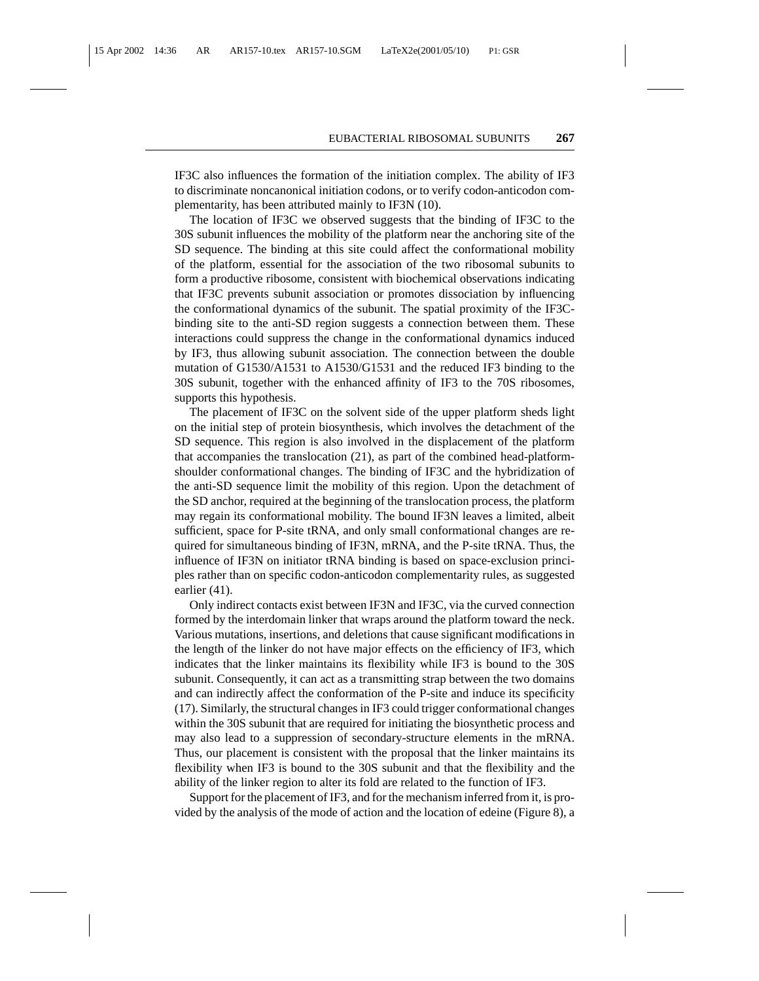IF3C also influences the formation of the initiation complex. The ability of IF3 to discriminate noncanonical initiation codons, or to verify codon-anticodon complementarity, has been attributed mainly to IF3N (10).

The location of IF3C we observed suggests that the binding of IF3C to the 30S subunit influences the mobility of the platform near the anchoring site of the SD sequence. The binding at this site could affect the conformational mobility of the platform, essential for the association of the two ribosomal subunits to form a productive ribosome, consistent with biochemical observations indicating that IF3C prevents subunit association or promotes dissociation by influencing the conformational dynamics of the subunit. The spatial proximity of the IF3Cbinding site to the anti-SD region suggests a connection between them. These interactions could suppress the change in the conformational dynamics induced by IF3, thus allowing subunit association. The connection between the double mutation of G1530/A1531 to A1530/G1531 and the reduced IF3 binding to the 30S subunit, together with the enhanced affinity of IF3 to the 70S ribosomes, supports this hypothesis.

The placement of IF3C on the solvent side of the upper platform sheds light on the initial step of protein biosynthesis, which involves the detachment of the SD sequence. This region is also involved in the displacement of the platform that accompanies the translocation (21), as part of the combined head-platformshoulder conformational changes. The binding of IF3C and the hybridization of the anti-SD sequence limit the mobility of this region. Upon the detachment of the SD anchor, required at the beginning of the translocation process, the platform may regain its conformational mobility. The bound IF3N leaves a limited, albeit sufficient, space for P-site tRNA, and only small conformational changes are required for simultaneous binding of IF3N, mRNA, and the P-site tRNA. Thus, the influence of IF3N on initiator tRNA binding is based on space-exclusion principles rather than on specific codon-anticodon complementarity rules, as suggested earlier (41).

Only indirect contacts exist between IF3N and IF3C, via the curved connection formed by the interdomain linker that wraps around the platform toward the neck. Various mutations, insertions, and deletions that cause significant modifications in the length of the linker do not have major effects on the efficiency of IF3, which indicates that the linker maintains its flexibility while IF3 is bound to the 30S subunit. Consequently, it can act as a transmitting strap between the two domains and can indirectly affect the conformation of the P-site and induce its specificity (17). Similarly, the structural changes in IF3 could trigger conformational changes within the 30S subunit that are required for initiating the biosynthetic process and may also lead to a suppression of secondary-structure elements in the mRNA. Thus, our placement is consistent with the proposal that the linker maintains its flexibility when IF3 is bound to the 30S subunit and that the flexibility and the ability of the linker region to alter its fold are related to the function of IF3.

Support for the placement of IF3, and for the mechanism inferred from it, is provided by the analysis of the mode of action and the location of edeine (Figure 8), a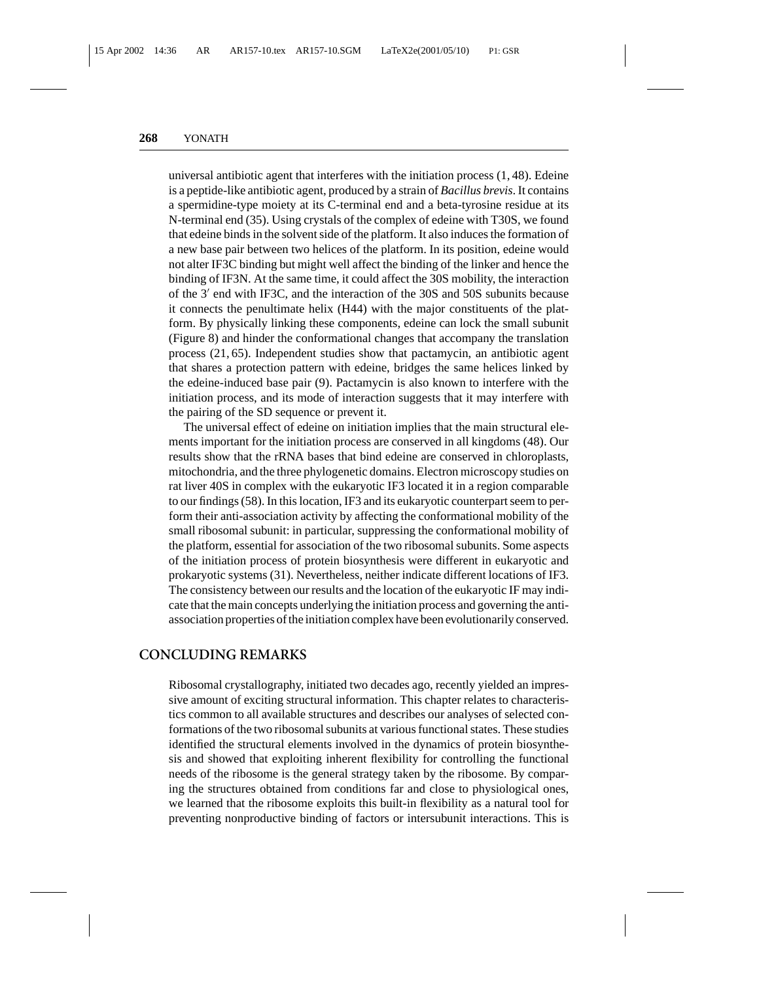universal antibiotic agent that interferes with the initiation process (1, 48). Edeine is a peptide-like antibiotic agent, produced by a strain of *Bacillus brevis*. It contains a spermidine-type moiety at its C-terminal end and a beta-tyrosine residue at its N-terminal end (35). Using crystals of the complex of edeine with T30S, we found that edeine binds in the solvent side of the platform. It also induces the formation of a new base pair between two helices of the platform. In its position, edeine would not alter IF3C binding but might well affect the binding of the linker and hence the binding of IF3N. At the same time, it could affect the 30S mobility, the interaction of the  $3'$  end with IF3C, and the interaction of the 30S and 50S subunits because it connects the penultimate helix (H44) with the major constituents of the platform. By physically linking these components, edeine can lock the small subunit (Figure 8) and hinder the conformational changes that accompany the translation process (21, 65). Independent studies show that pactamycin, an antibiotic agent that shares a protection pattern with edeine, bridges the same helices linked by the edeine-induced base pair (9). Pactamycin is also known to interfere with the initiation process, and its mode of interaction suggests that it may interfere with the pairing of the SD sequence or prevent it.

The universal effect of edeine on initiation implies that the main structural elements important for the initiation process are conserved in all kingdoms (48). Our results show that the rRNA bases that bind edeine are conserved in chloroplasts, mitochondria, and the three phylogenetic domains. Electron microscopy studies on rat liver 40S in complex with the eukaryotic IF3 located it in a region comparable to our findings (58). In this location, IF3 and its eukaryotic counterpart seem to perform their anti-association activity by affecting the conformational mobility of the small ribosomal subunit: in particular, suppressing the conformational mobility of the platform, essential for association of the two ribosomal subunits. Some aspects of the initiation process of protein biosynthesis were different in eukaryotic and prokaryotic systems (31). Nevertheless, neither indicate different locations of IF3. The consistency between our results and the location of the eukaryotic IF may indicate that the main concepts underlying the initiation process and governing the antiassociation properties of the initiation complex have been evolutionarily conserved.

## **CONCLUDING REMARKS**

Ribosomal crystallography, initiated two decades ago, recently yielded an impressive amount of exciting structural information. This chapter relates to characteristics common to all available structures and describes our analyses of selected conformations of the two ribosomal subunits at various functional states. These studies identified the structural elements involved in the dynamics of protein biosynthesis and showed that exploiting inherent flexibility for controlling the functional needs of the ribosome is the general strategy taken by the ribosome. By comparing the structures obtained from conditions far and close to physiological ones, we learned that the ribosome exploits this built-in flexibility as a natural tool for preventing nonproductive binding of factors or intersubunit interactions. This is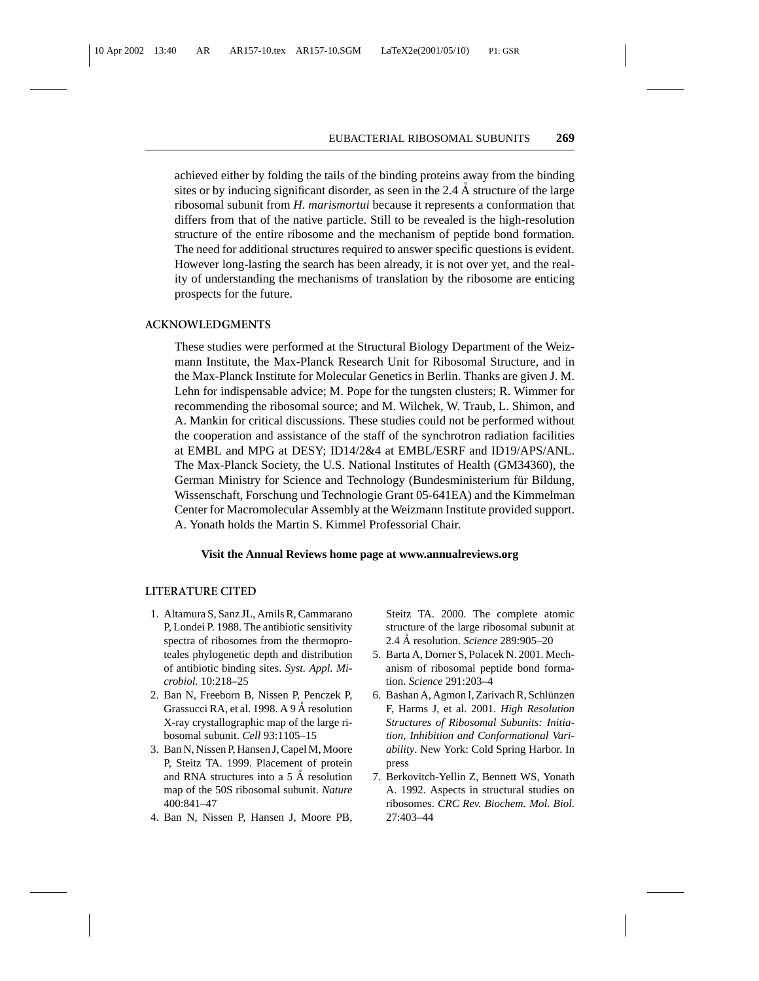achieved either by folding the tails of the binding proteins away from the binding sites or by inducing significant disorder, as seen in the 2.4  $\AA$  structure of the large ribosomal subunit from *H. marismortui* because it represents a conformation that differs from that of the native particle. Still to be revealed is the high-resolution structure of the entire ribosome and the mechanism of peptide bond formation. The need for additional structures required to answer specific questions is evident. However long-lasting the search has been already, it is not over yet, and the reality of understanding the mechanisms of translation by the ribosome are enticing prospects for the future.

#### **ACKNOWLEDGMENTS**

These studies were performed at the Structural Biology Department of the Weizmann Institute, the Max-Planck Research Unit for Ribosomal Structure, and in the Max-Planck Institute for Molecular Genetics in Berlin. Thanks are given J. M. Lehn for indispensable advice; M. Pope for the tungsten clusters; R. Wimmer for recommending the ribosomal source; and M. Wilchek, W. Traub, L. Shimon, and A. Mankin for critical discussions. These studies could not be performed without the cooperation and assistance of the staff of the synchrotron radiation facilities at EMBL and MPG at DESY; ID14/2&4 at EMBL/ESRF and ID19/APS/ANL. The Max-Planck Society, the U.S. National Institutes of Health (GM34360), the German Ministry for Science and Technology (Bundesministerium für Bildung, Wissenschaft, Forschung und Technologie Grant 05-641EA) and the Kimmelman Center for Macromolecular Assembly at the Weizmann Institute provided support. A. Yonath holds the Martin S. Kimmel Professorial Chair.

#### **Visit the Annual Reviews home page at www.annualreviews.org**

#### **LITERATURE CITED**

- 1. Altamura S, Sanz JL, Amils R, Cammarano P, Londei P. 1988. The antibiotic sensitivity spectra of ribosomes from the thermoproteales phylogenetic depth and distribution of antibiotic binding sites. *Syst. Appl. Microbiol.* 10:218–25
- 2. Ban N, Freeborn B, Nissen P, Penczek P, Grassucci RA, et al. 1998. A 9 Å resolution X-ray crystallographic map of the large ribosomal subunit. *Cell* 93:1105–15
- 3. Ban N, Nissen P, Hansen J, Capel M, Moore P, Steitz TA. 1999. Placement of protein and RNA structures into a  $5 \text{ Å}$  resolution map of the 50S ribosomal subunit. *Nature* 400:841–47
- 4. Ban N, Nissen P, Hansen J, Moore PB,

Steitz TA. 2000. The complete atomic structure of the large ribosomal subunit at 2.4 Å resolution. *Science* 289:905–20

- 5. Barta A, Dorner S, Polacek N. 2001. Mechanism of ribosomal peptide bond formation. *Science* 291:203–4
- 6. Bashan A, Agmon I, Zarivach R, Schlünzen F, Harms J, et al. 2001. *High Resolution Structures of Ribosomal Subunits: Initiation, Inhibition and Conformational Variability*. New York: Cold Spring Harbor. In press
- 7. Berkovitch-Yellin Z, Bennett WS, Yonath A. 1992. Aspects in structural studies on ribosomes. *CRC Rev. Biochem. Mol. Biol.* 27:403–44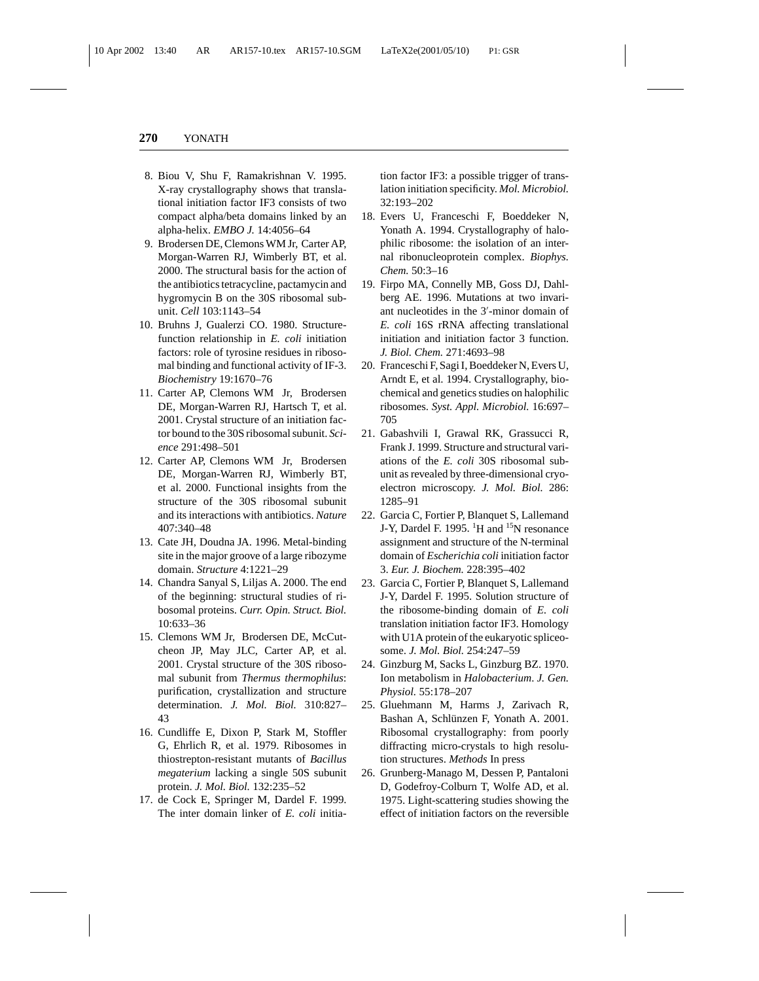- 8. Biou V, Shu F, Ramakrishnan V. 1995. X-ray crystallography shows that translational initiation factor IF3 consists of two compact alpha/beta domains linked by an alpha-helix. *EMBO J.* 14:4056–64
- 9. Brodersen DE, Clemons WM Jr, Carter AP, Morgan-Warren RJ, Wimberly BT, et al. 2000. The structural basis for the action of the antibiotics tetracycline, pactamycin and hygromycin B on the 30S ribosomal subunit. *Cell* 103:1143–54
- 10. Bruhns J, Gualerzi CO. 1980. Structurefunction relationship in *E. coli* initiation factors: role of tyrosine residues in ribosomal binding and functional activity of IF-3. *Biochemistry* 19:1670–76
- 11. Carter AP, Clemons WM Jr, Brodersen DE, Morgan-Warren RJ, Hartsch T, et al. 2001. Crystal structure of an initiation factor bound to the 30S ribosomal subunit. *Science* 291:498–501
- 12. Carter AP, Clemons WM Jr, Brodersen DE, Morgan-Warren RJ, Wimberly BT, et al. 2000. Functional insights from the structure of the 30S ribosomal subunit and its interactions with antibiotics. *Nature* 407:340–48
- 13. Cate JH, Doudna JA. 1996. Metal-binding site in the major groove of a large ribozyme domain. *Structure* 4:1221–29
- 14. Chandra Sanyal S, Liljas A. 2000. The end of the beginning: structural studies of ribosomal proteins. *Curr. Opin. Struct. Biol.* 10:633–36
- 15. Clemons WM Jr, Brodersen DE, McCutcheon JP, May JLC, Carter AP, et al. 2001. Crystal structure of the 30S ribosomal subunit from *Thermus thermophilus*: purification, crystallization and structure determination. *J. Mol. Biol.* 310:827– 43
- 16. Cundliffe E, Dixon P, Stark M, Stoffler G, Ehrlich R, et al. 1979. Ribosomes in thiostrepton-resistant mutants of *Bacillus megaterium* lacking a single 50S subunit protein. *J. Mol. Biol.* 132:235–52
- 17. de Cock E, Springer M, Dardel F. 1999. The inter domain linker of *E. coli* initia-

tion factor IF3: a possible trigger of translation initiation specificity. *Mol. Microbiol.* 32:193–202

- 18. Evers U, Franceschi F, Boeddeker N, Yonath A. 1994. Crystallography of halophilic ribosome: the isolation of an internal ribonucleoprotein complex. *Biophys. Chem.* 50:3–16
- 19. Firpo MA, Connelly MB, Goss DJ, Dahlberg AE. 1996. Mutations at two invariant nucleotides in the 3'-minor domain of *E. coli* 16S rRNA affecting translational initiation and initiation factor 3 function. *J. Biol. Chem.* 271:4693–98
- 20. Franceschi F, Sagi I, Boeddeker N, Evers U, Arndt E, et al. 1994. Crystallography, biochemical and genetics studies on halophilic ribosomes. *Syst. Appl. Microbiol.* 16:697– 705
- 21. Gabashvili I, Grawal RK, Grassucci R, Frank J. 1999. Structure and structural variations of the *E. coli* 30S ribosomal subunit as revealed by three-dimensional cryoelectron microscopy. *J. Mol. Biol.* 286: 1285–91
- 22. Garcia C, Fortier P, Blanquet S, Lallemand J-Y, Dardel F. 1995. <sup>1</sup>H and <sup>15</sup>N resonance assignment and structure of the N-terminal domain of *Escherichia coli* initiation factor 3. *Eur. J. Biochem.* 228:395–402
- 23. Garcia C, Fortier P, Blanquet S, Lallemand J-Y, Dardel F. 1995. Solution structure of the ribosome-binding domain of *E. coli* translation initiation factor IF3. Homology with U1A protein of the eukaryotic spliceosome. *J. Mol. Biol.* 254:247–59
- 24. Ginzburg M, Sacks L, Ginzburg BZ. 1970. Ion metabolism in *Halobacterium*. *J. Gen. Physiol.* 55:178–207
- 25. Gluehmann M, Harms J, Zarivach R, Bashan A, Schlünzen F, Yonath A. 2001. Ribosomal crystallography: from poorly diffracting micro-crystals to high resolution structures. *Methods* In press
- 26. Grunberg-Manago M, Dessen P, Pantaloni D, Godefroy-Colburn T, Wolfe AD, et al. 1975. Light-scattering studies showing the effect of initiation factors on the reversible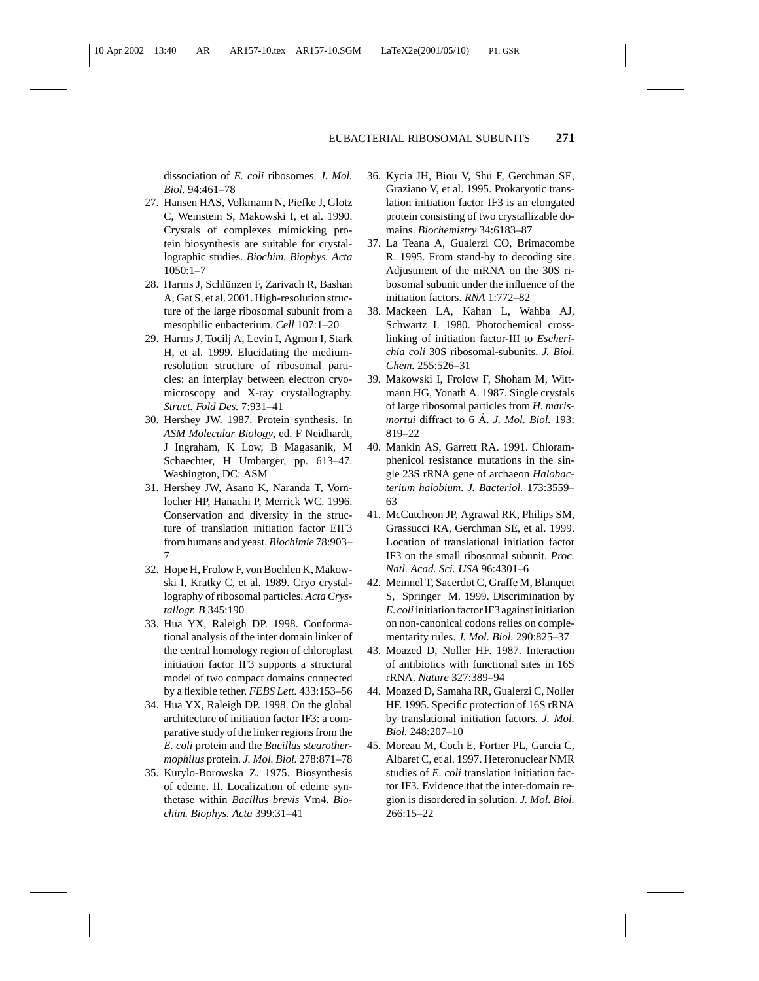dissociation of *E. coli* ribosomes. *J. Mol. Biol.* 94:461–78

- 27. Hansen HAS, Volkmann N, Piefke J, Glotz C, Weinstein S, Makowski I, et al. 1990. Crystals of complexes mimicking protein biosynthesis are suitable for crystallographic studies. *Biochim. Biophys. Acta* 1050:1–7
- 28. Harms J, Schlünzen F, Zarivach R, Bashan A, Gat S, et al. 2001. High-resolution structure of the large ribosomal subunit from a mesophilic eubacterium. *Cell* 107:1–20
- 29. Harms J, Tocilj A, Levin I, Agmon I, Stark H, et al. 1999. Elucidating the mediumresolution structure of ribosomal particles: an interplay between electron cryomicroscopy and X-ray crystallography. *Struct. Fold Des.* 7:931–41
- 30. Hershey JW. 1987. Protein synthesis. In *ASM Molecular Biology*, ed. F Neidhardt, J Ingraham, K Low, B Magasanik, M Schaechter, H Umbarger, pp. 613–47. Washington, DC: ASM
- 31. Hershey JW, Asano K, Naranda T, Vornlocher HP, Hanachi P, Merrick WC. 1996. Conservation and diversity in the structure of translation initiation factor EIF3 from humans and yeast. *Biochimie* 78:903– 7
- 32. Hope H, Frolow F, von Boehlen K, Makowski I, Kratky C, et al. 1989. Cryo crystallography of ribosomal particles. *Acta Crystallogr. B* 345:190
- 33. Hua YX, Raleigh DP. 1998. Conformational analysis of the inter domain linker of the central homology region of chloroplast initiation factor IF3 supports a structural model of two compact domains connected by a flexible tether. *FEBS Lett.* 433:153–56
- 34. Hua YX, Raleigh DP. 1998. On the global architecture of initiation factor IF3: a comparative study of the linker regions from the *E. coli* protein and the *Bacillus stearothermophilus* protein. *J. Mol. Biol.* 278:871–78
- 35. Kurylo-Borowska Z. 1975. Biosynthesis of edeine. II. Localization of edeine synthetase within *Bacillus brevis* Vm4. *Biochim. Biophys. Acta* 399:31–41
- 36. Kycia JH, Biou V, Shu F, Gerchman SE, Graziano V, et al. 1995. Prokaryotic translation initiation factor IF3 is an elongated protein consisting of two crystallizable domains. *Biochemistry* 34:6183–87
- 37. La Teana A, Gualerzi CO, Brimacombe R. 1995. From stand-by to decoding site. Adjustment of the mRNA on the 30S ribosomal subunit under the influence of the initiation factors. *RNA* 1:772–82
- 38. Mackeen LA, Kahan L, Wahba AJ, Schwartz I. 1980. Photochemical crosslinking of initiation factor-III to *Escherichia coli* 30S ribosomal-subunits. *J. Biol. Chem.* 255:526–31
- 39. Makowski I, Frolow F, Shoham M, Wittmann HG, Yonath A. 1987. Single crystals of large ribosomal particles from *H. marismortui* diffract to 6 A. J. Mol. Biol. 193: 819–22
- 40. Mankin AS, Garrett RA. 1991. Chloramphenicol resistance mutations in the single 23S rRNA gene of archaeon *Halobacterium halobium*. *J. Bacteriol.* 173:3559– 63
- 41. McCutcheon JP, Agrawal RK, Philips SM, Grassucci RA, Gerchman SE, et al. 1999. Location of translational initiation factor IF3 on the small ribosomal subunit. *Proc. Natl. Acad. Sci. USA* 96:4301–6
- 42. Meinnel T, Sacerdot C, Graffe M, Blanquet S, Springer M. 1999. Discrimination by *E. coli* initiation factor IF3 against initiation on non-canonical codons relies on complementarity rules. *J. Mol. Biol.* 290:825–37
- 43. Moazed D, Noller HF. 1987. Interaction of antibiotics with functional sites in 16S rRNA. *Nature* 327:389–94
- 44. Moazed D, Samaha RR, Gualerzi C, Noller HF. 1995. Specific protection of 16S rRNA by translational initiation factors. *J. Mol. Biol.* 248:207–10
- 45. Moreau M, Coch E, Fortier PL, Garcia C, Albaret C, et al. 1997. Heteronuclear NMR studies of *E. coli* translation initiation factor IF3. Evidence that the inter-domain region is disordered in solution. *J. Mol. Biol.* 266:15–22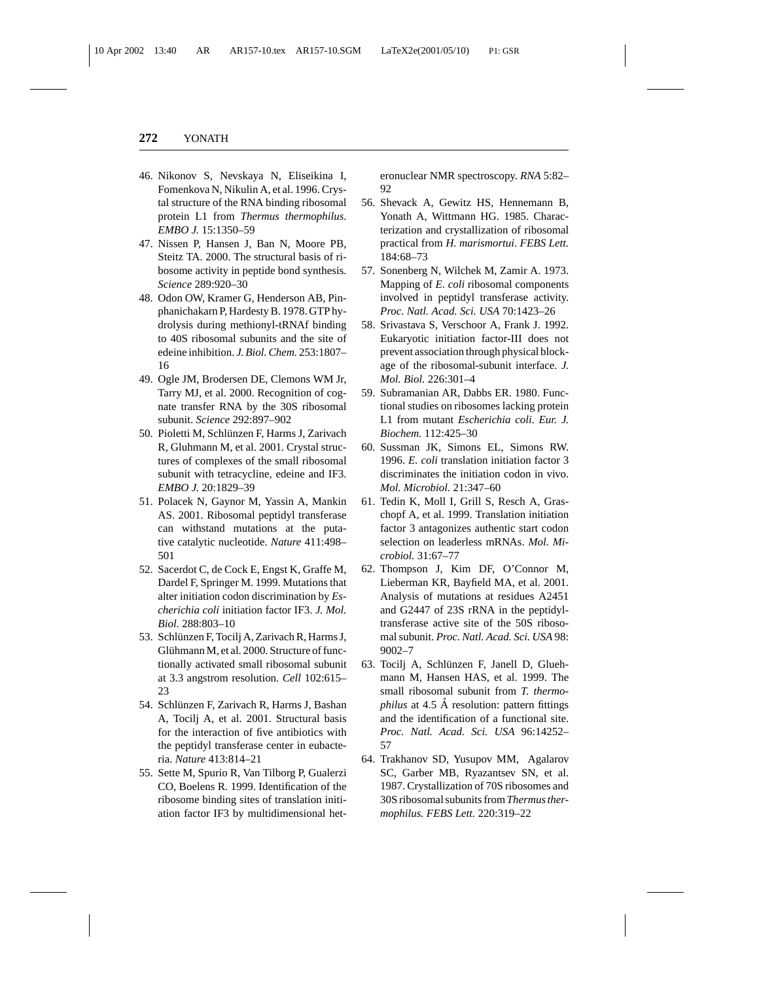- 46. Nikonov S, Nevskaya N, Eliseikina I, Fomenkova N, Nikulin A, et al. 1996. Crystal structure of the RNA binding ribosomal protein L1 from *Thermus thermophilus*. *EMBO J.* 15:1350–59
- 47. Nissen P, Hansen J, Ban N, Moore PB, Steitz TA. 2000. The structural basis of ribosome activity in peptide bond synthesis. *Science* 289:920–30
- 48. Odon OW, Kramer G, Henderson AB, Pinphanichakarn P, Hardesty B. 1978. GTP hydrolysis during methionyl-tRNAf binding to 40S ribosomal subunits and the site of edeine inhibition. *J. Biol. Chem.* 253:1807– 16
- 49. Ogle JM, Brodersen DE, Clemons WM Jr, Tarry MJ, et al. 2000. Recognition of cognate transfer RNA by the 30S ribosomal subunit. *Science* 292:897–902
- 50. Pioletti M, Schlünzen F, Harms J, Zarivach R, Gluhmann M, et al. 2001. Crystal structures of complexes of the small ribosomal subunit with tetracycline, edeine and IF3. *EMBO J.* 20:1829–39
- 51. Polacek N, Gaynor M, Yassin A, Mankin AS. 2001. Ribosomal peptidyl transferase can withstand mutations at the putative catalytic nucleotide. *Nature* 411:498– 501
- 52. Sacerdot C, de Cock E, Engst K, Graffe M, Dardel F, Springer M. 1999. Mutations that alter initiation codon discrimination by *Escherichia coli* initiation factor IF3. *J. Mol. Biol.* 288:803–10
- 53. Schlünzen F, Tocilj A, Zarivach R, Harms J, Glühmann M, et al. 2000. Structure of functionally activated small ribosomal subunit at 3.3 angstrom resolution. *Cell* 102:615– 23
- 54. Schlünzen F, Zarivach R, Harms J, Bashan A, Tocilj A, et al. 2001. Structural basis for the interaction of five antibiotics with the peptidyl transferase center in eubacteria. *Nature* 413:814–21
- 55. Sette M, Spurio R, Van Tilborg P, Gualerzi CO, Boelens R. 1999. Identification of the ribosome binding sites of translation initiation factor IF3 by multidimensional het-

eronuclear NMR spectroscopy. *RNA* 5:82– 92

- 56. Shevack A, Gewitz HS, Hennemann B, Yonath A, Wittmann HG. 1985. Characterization and crystallization of ribosomal practical from *H. marismortui*. *FEBS Lett.* 184:68–73
- 57. Sonenberg N, Wilchek M, Zamir A. 1973. Mapping of *E. coli* ribosomal components involved in peptidyl transferase activity. *Proc. Natl. Acad. Sci. USA* 70:1423–26
- 58. Srivastava S, Verschoor A, Frank J. 1992. Eukaryotic initiation factor-III does not prevent association through physical blockage of the ribosomal-subunit interface. *J. Mol. Biol.* 226:301–4
- 59. Subramanian AR, Dabbs ER. 1980. Functional studies on ribosomes lacking protein L1 from mutant *Escherichia coli*. *Eur. J. Biochem.* 112:425–30
- 60. Sussman JK, Simons EL, Simons RW. 1996. *E. coli* translation initiation factor 3 discriminates the initiation codon in vivo. *Mol. Microbiol.* 21:347–60
- 61. Tedin K, Moll I, Grill S, Resch A, Graschopf A, et al. 1999. Translation initiation factor 3 antagonizes authentic start codon selection on leaderless mRNAs. *Mol. Microbiol.* 31:67–77
- 62. Thompson J, Kim DF, O'Connor M, Lieberman KR, Bayfield MA, et al. 2001. Analysis of mutations at residues A2451 and G2447 of 23S rRNA in the peptidyltransferase active site of the 50S ribosomal subunit. *Proc. Natl. Acad. Sci. USA* 98: 9002–7
- 63. Tocilj A, Schlünzen F, Janell D, Gluehmann M, Hansen HAS, et al. 1999. The small ribosomal subunit from *T. thermophilus* at 4.5 Å resolution: pattern fittings and the identification of a functional site. *Proc. Natl. Acad. Sci. USA* 96:14252– 57
- 64. Trakhanov SD, Yusupov MM, Agalarov SC, Garber MB, Ryazantsev SN, et al. 1987. Crystallization of 70S ribosomes and 30S ribosomal subunits from*Thermus thermophilus. FEBS Lett.* 220:319–22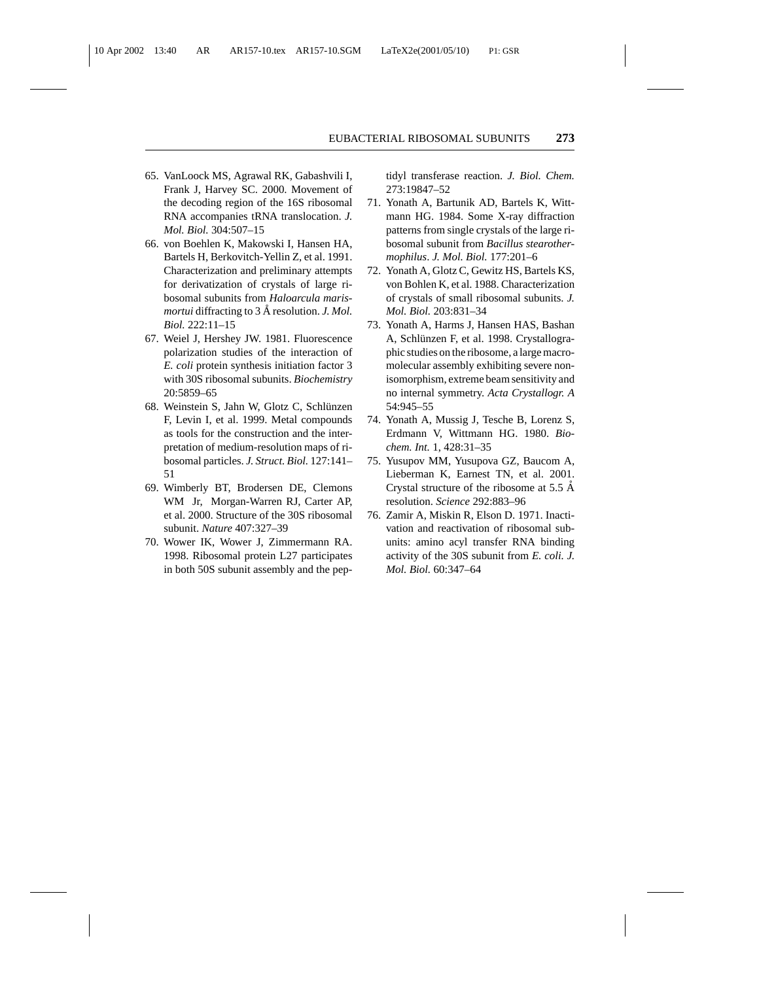- 65. VanLoock MS, Agrawal RK, Gabashvili I, Frank J, Harvey SC. 2000. Movement of the decoding region of the 16S ribosomal RNA accompanies tRNA translocation. *J. Mol. Biol.* 304:507–15
- 66. von Boehlen K, Makowski I, Hansen HA, Bartels H, Berkovitch-Yellin Z, et al. 1991. Characterization and preliminary attempts for derivatization of crystals of large ribosomal subunits from *Haloarcula marismortui* diffracting to 3 Å resolution. *J. Mol. Biol.* 222:11–15
- 67. Weiel J, Hershey JW. 1981. Fluorescence polarization studies of the interaction of *E. coli* protein synthesis initiation factor 3 with 30S ribosomal subunits. *Biochemistry* 20:5859–65
- 68. Weinstein S, Jahn W, Glotz C, Schlünzen F, Levin I, et al. 1999. Metal compounds as tools for the construction and the interpretation of medium-resolution maps of ribosomal particles. *J. Struct. Biol.* 127:141– 51
- 69. Wimberly BT, Brodersen DE, Clemons WM Jr, Morgan-Warren RJ, Carter AP, et al. 2000. Structure of the 30S ribosomal subunit. *Nature* 407:327–39
- 70. Wower IK, Wower J, Zimmermann RA. 1998. Ribosomal protein L27 participates in both 50S subunit assembly and the pep-

tidyl transferase reaction. *J. Biol. Chem.* 273:19847–52

- 71. Yonath A, Bartunik AD, Bartels K, Wittmann HG. 1984. Some X-ray diffraction patterns from single crystals of the large ribosomal subunit from *Bacillus stearothermophilus*. *J. Mol. Biol.* 177:201–6
- 72. Yonath A, Glotz C, Gewitz HS, Bartels KS, von Bohlen K, et al. 1988. Characterization of crystals of small ribosomal subunits. *J. Mol. Biol.* 203:831–34
- 73. Yonath A, Harms J, Hansen HAS, Bashan A, Schlünzen F, et al. 1998. Crystallographic studies on the ribosome, a large macromolecular assembly exhibiting severe nonisomorphism, extreme beam sensitivity and no internal symmetry. *Acta Crystallogr. A* 54:945–55
- 74. Yonath A, Mussig J, Tesche B, Lorenz S, Erdmann V, Wittmann HG. 1980. *Biochem. Int.* 1, 428:31–35
- 75. Yusupov MM, Yusupova GZ, Baucom A, Lieberman K, Earnest TN, et al. 2001. Crystal structure of the ribosome at  $5.5 \text{ Å}$ resolution. *Science* 292:883–96
- 76. Zamir A, Miskin R, Elson D. 1971. Inactivation and reactivation of ribosomal subunits: amino acyl transfer RNA binding activity of the 30S subunit from *E. coli. J. Mol. Biol.* 60:347–64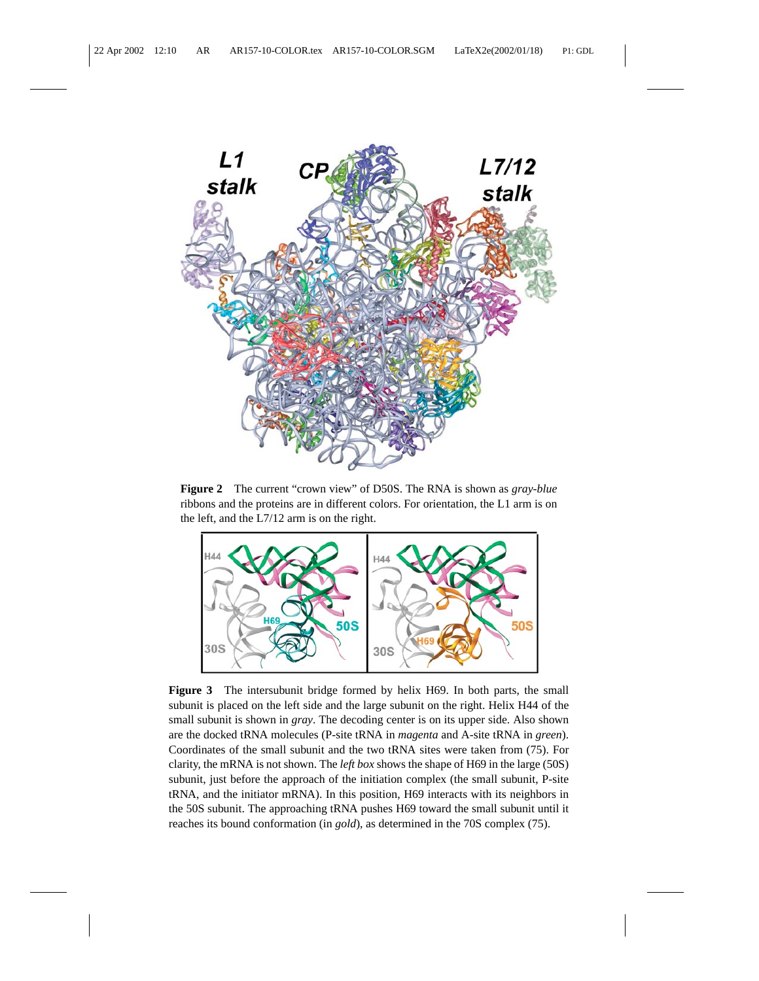

**Figure 2** The current "crown view" of D50S. The RNA is shown as *gray-blue* ribbons and the proteins are in different colors. For orientation, the L1 arm is on the left, and the L7/12 arm is on the right.



**Figure 3** The intersubunit bridge formed by helix H69. In both parts, the small subunit is placed on the left side and the large subunit on the right. Helix H44 of the small subunit is shown in *gray*. The decoding center is on its upper side. Also shown are the docked tRNA molecules (P-site tRNA in *magenta* and A-site tRNA in *green*). Coordinates of the small subunit and the two tRNA sites were taken from (75). For clarity, the mRNA is not shown. The *left box* shows the shape of H69 in the large (50S) subunit, just before the approach of the initiation complex (the small subunit, P-site tRNA, and the initiator mRNA). In this position, H69 interacts with its neighbors in the 50S subunit. The approaching tRNA pushes H69 toward the small subunit until it reaches its bound conformation (in *gold*), as determined in the 70S complex (75).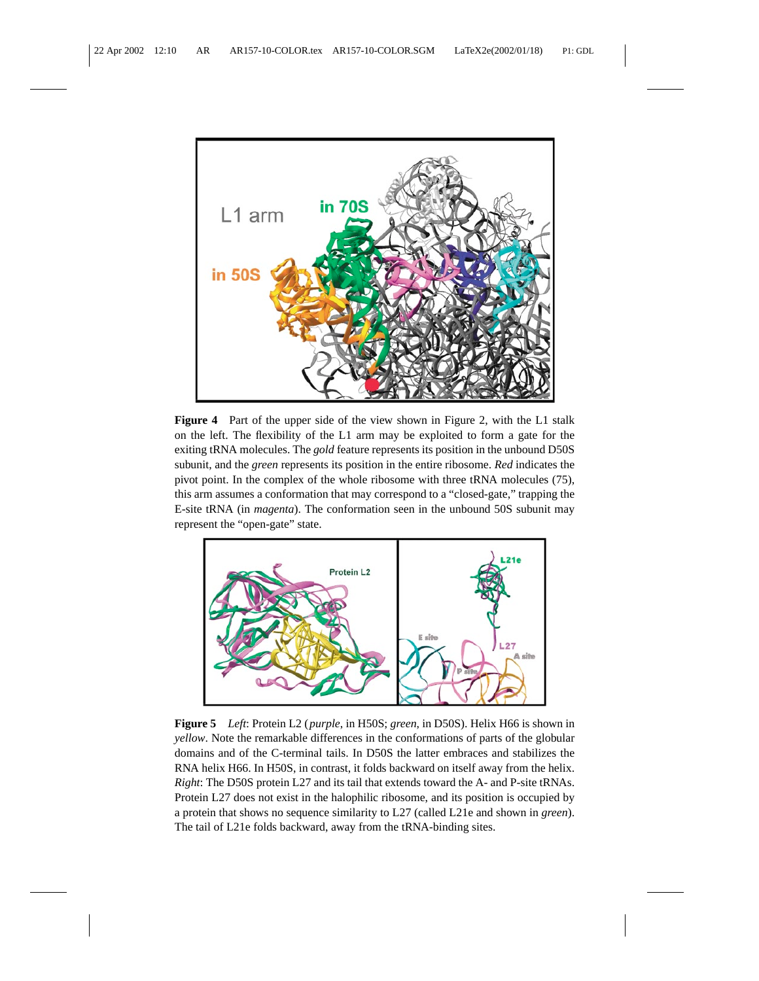

**Figure 4** Part of the upper side of the view shown in Figure 2, with the L1 stalk on the left. The flexibility of the L1 arm may be exploited to form a gate for the exiting tRNA molecules. The *gold* feature represents its position in the unbound D50S subunit, and the *green* represents its position in the entire ribosome. *Red* indicates the pivot point. In the complex of the whole ribosome with three tRNA molecules (75), this arm assumes a conformation that may correspond to a "closed-gate," trapping the E-site tRNA (in *magenta*). The conformation seen in the unbound 50S subunit may represent the "open-gate" state.



**Figure 5** *Left*: Protein L2 (*purple*, in H50S; *green*, in D50S). Helix H66 is shown in *yellow*. Note the remarkable differences in the conformations of parts of the globular domains and of the C-terminal tails. In D50S the latter embraces and stabilizes the RNA helix H66. In H50S, in contrast, it folds backward on itself away from the helix. *Right*: The D50S protein L27 and its tail that extends toward the A- and P-site tRNAs. Protein L27 does not exist in the halophilic ribosome, and its position is occupied by a protein that shows no sequence similarity to L27 (called L21e and shown in *green*). The tail of L21e folds backward, away from the tRNA-binding sites.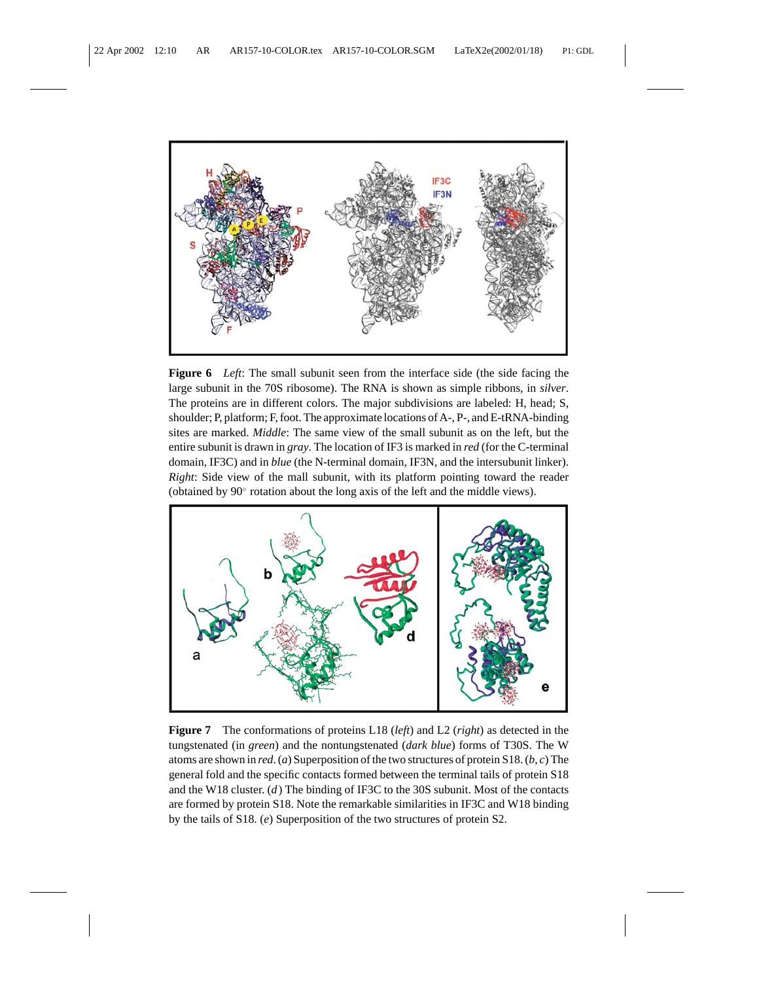

**Figure 6** *Left*: The small subunit seen from the interface side (the side facing the large subunit in the 70S ribosome). The RNA is shown as simple ribbons, in *silver*. The proteins are in different colors. The major subdivisions are labeled: H, head; S, shoulder; P, platform; F, foot. The approximate locations of A-, P-, and E-tRNA-binding sites are marked. *Middle*: The same view of the small subunit as on the left, but the entire subunit is drawn in *gray*. The location of IF3 is marked in *red* (for the C-terminal domain, IF3C) and in *blue* (the N-terminal domain, IF3N, and the intersubunit linker). *Right*: Side view of the mall subunit, with its platform pointing toward the reader (obtained by 90◦ rotation about the long axis of the left and the middle views).



**Figure 7** The conformations of proteins L18 (*left*) and L2 (*right*) as detected in the tungstenated (in *green*) and the nontungstenated (*dark blue*) forms of T30S. The W atoms are shown in *red*. (*a*) Superposition of the two structures of protein S18. (*b*, *c*) The general fold and the specific contacts formed between the terminal tails of protein S18 and the W18 cluster. (*d*) The binding of IF3C to the 30S subunit. Most of the contacts are formed by protein S18. Note the remarkable similarities in IF3C and W18 binding by the tails of S18. (*e*) Superposition of the two structures of protein S2.